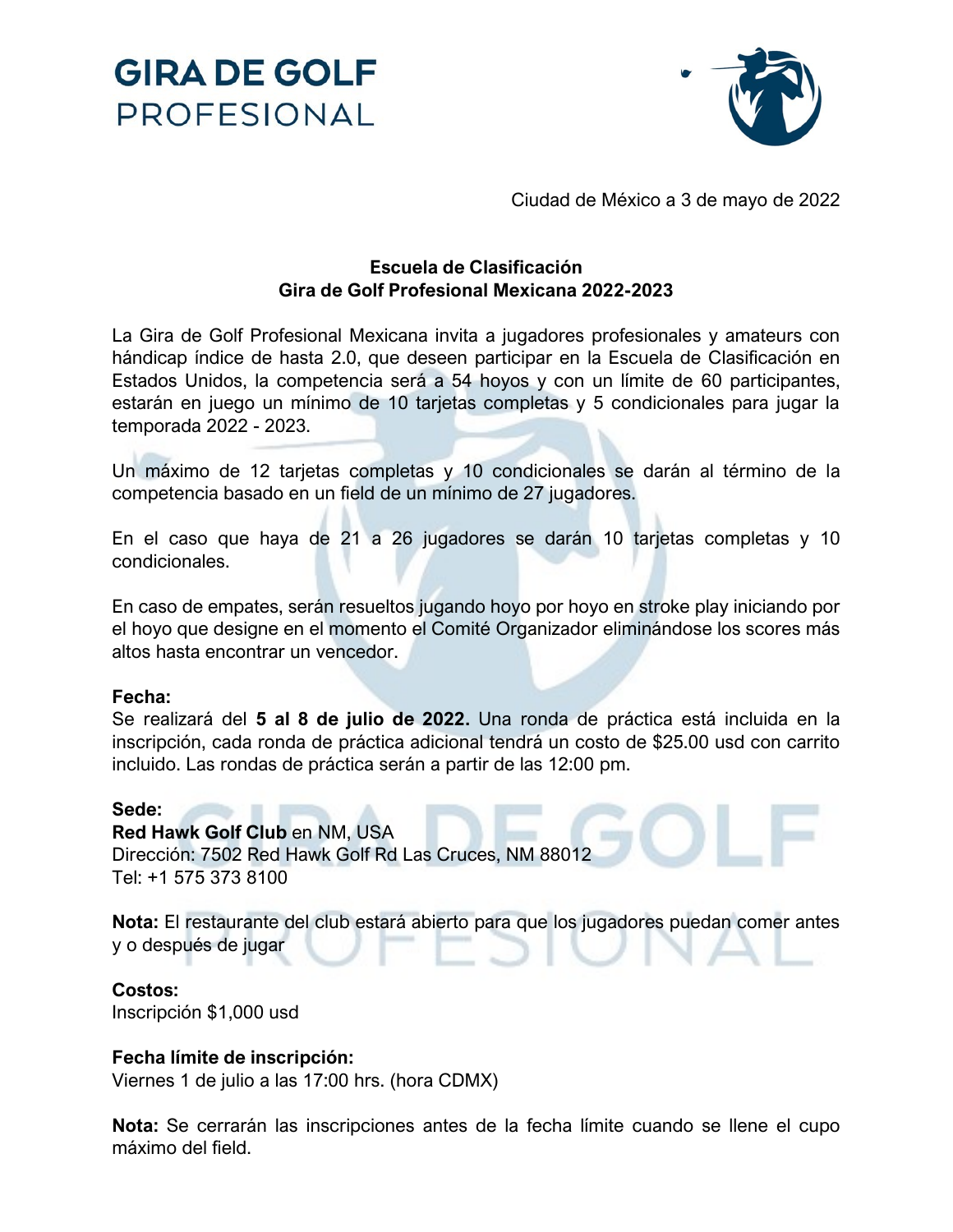



Ciudad de México a 3 de mayo de 2022

## **Escuela de Clasificación Gira de Golf Profesional Mexicana 2022-2023**

La Gira de Golf Profesional Mexicana invita a jugadores profesionales y amateurs con hándicap índice de hasta 2.0, que deseen participar en la Escuela de Clasificación en Estados Unidos, la competencia será a 54 hoyos y con un límite de 60 participantes, estarán en juego un mínimo de 10 tarjetas completas y 5 condicionales para jugar la temporada 2022 - 2023.

Un máximo de 12 tarjetas completas y 10 condicionales se darán al término de la competencia basado en un field de un mínimo de 27 jugadores.

En el caso que haya de 21 a 26 jugadores se darán 10 tarjetas completas y 10 condicionales.

En caso de empates, serán resueltos jugando hoyo por hoyo en stroke play iniciando por el hoyo que designe en el momento el Comité Organizador eliminándose los scores más altos hasta encontrar un vencedor.

## **Fecha:**

Se realizará del **5 al 8 de julio de 2022.** Una ronda de práctica está incluida en la inscripción, cada ronda de práctica adicional tendrá un costo de \$25.00 usd con carrito incluido. Las rondas de práctica serán a partir de las 12:00 pm.

## **Sede:**

**Red Hawk Golf Club** en NM, USA Dirección: 7502 Red Hawk Golf Rd Las Cruces, NM 88012 Tel: +1 575 373 8100

**Nota:** El restaurante del club estará abierto para que los jugadores puedan comer antes y o después de jugar

## **Costos:**

Inscripción \$1,000 usd

## **Fecha límite de inscripción:**

Viernes 1 de julio a las 17:00 hrs. (hora CDMX)

**Nota:** Se cerrarán las inscripciones antes de la fecha límite cuando se llene el cupo máximo del field.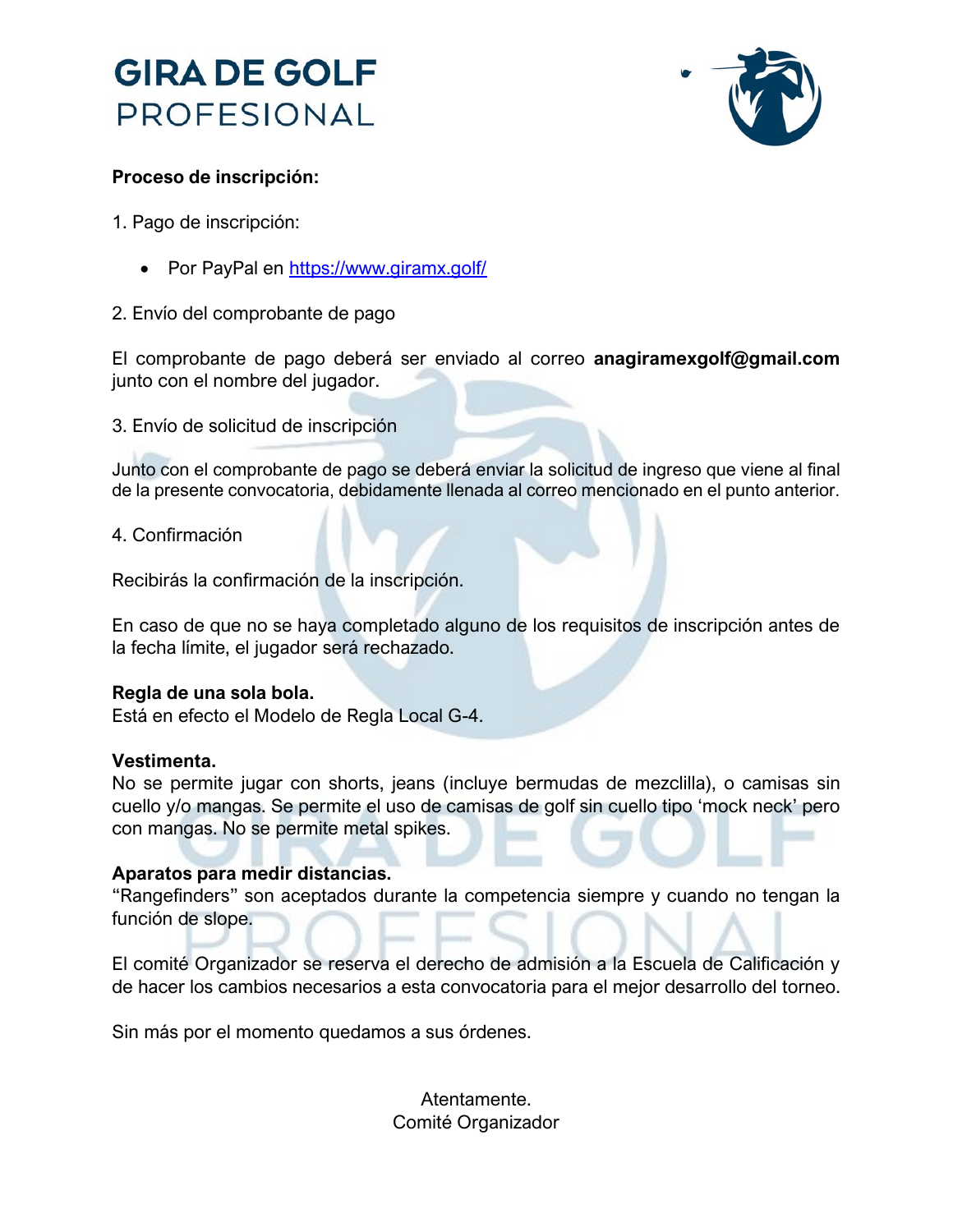



## **Proceso de inscripción:**

- 1. Pago de inscripción:
	- Por PayPal en<https://www.giramx.golf/>
- 2. Envío del comprobante de pago

El comprobante de pago deberá ser enviado al correo **anagiramexgolf@gmail.com**  junto con el nombre del jugador.

3. Envío de solicitud de inscripción

Junto con el comprobante de pago se deberá enviar la solicitud de ingreso que viene al final de la presente convocatoria, debidamente llenada al correo mencionado en el punto anterior.

4. Confirmación

Recibirás la confirmación de la inscripción.

En caso de que no se haya completado alguno de los requisitos de inscripción antes de la fecha límite, el jugador será rechazado.

## **Regla de una sola bola.**

Está en efecto el Modelo de Regla Local G-4.

## **Vestimenta.**

No se permite jugar con shorts, jeans (incluye bermudas de mezclilla), o camisas sin cuello y/o mangas. Se permite el uso de camisas de golf sin cuello tipo 'mock neck' pero con mangas. No se permite metal spikes.

## **Aparatos para medir distancias.**

"Rangefinders" son aceptados durante la competencia siempre y cuando no tengan la función de slope.

El comité Organizador se reserva el derecho de admisión a la Escuela de Calificación y de hacer los cambios necesarios a esta convocatoria para el mejor desarrollo del torneo.

Sin más por el momento quedamos a sus órdenes.

Atentamente. Comité Organizador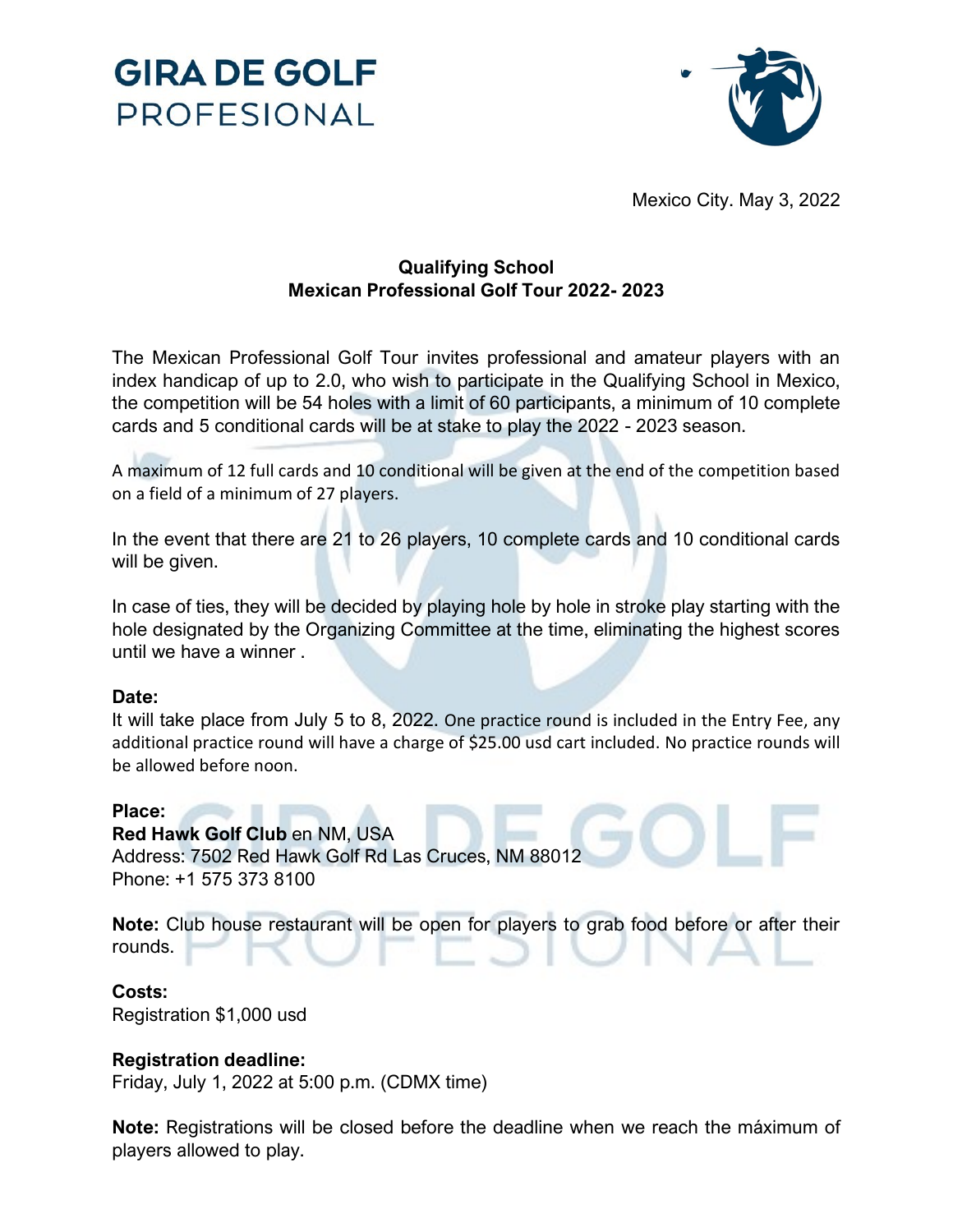



Mexico City. May 3, 2022

## **Qualifying School Mexican Professional Golf Tour 2022- 2023**

The Mexican Professional Golf Tour invites professional and amateur players with an index handicap of up to 2.0, who wish to participate in the Qualifying School in Mexico, the competition will be 54 holes with a limit of 60 participants, a minimum of 10 complete cards and 5 conditional cards will be at stake to play the 2022 - 2023 season.

A maximum of 12 full cards and 10 conditional will be given at the end of the competition based on a field of a minimum of 27 players.

In the event that there are 21 to 26 players, 10 complete cards and 10 conditional cards will be given.

In case of ties, they will be decided by playing hole by hole in stroke play starting with the hole designated by the Organizing Committee at the time, eliminating the highest scores until we have a winner .

## **Date:**

It will take place from July 5 to 8, 2022. One practice round is included in the Entry Fee, any additional practice round will have a charge of \$25.00 usd cart included. No practice rounds will be allowed before noon.

#### **Place:**

**Red Hawk Golf Club** en NM, USA Address: 7502 Red Hawk Golf Rd Las Cruces, NM 88012 Phone: +1 575 373 8100

**Note:** Club house restaurant will be open for players to grab food before or after their rounds.

#### **Costs:**

Registration \$1,000 usd

## **Registration deadline:**

Friday, July 1, 2022 at 5:00 p.m. (CDMX time)

**Note:** Registrations will be closed before the deadline when we reach the máximum of players allowed to play.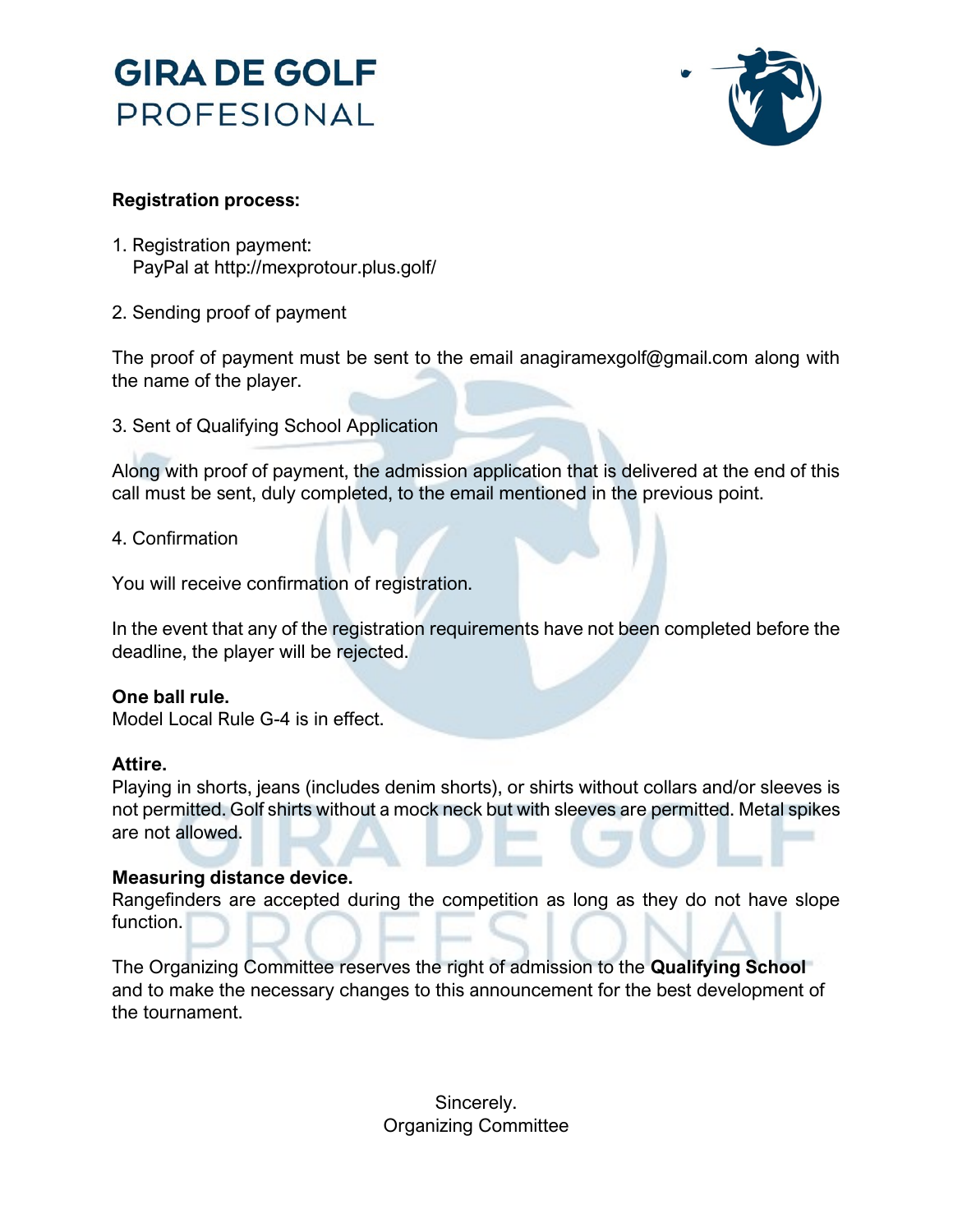# **GIRA DE GOLF** PROFESIONAL



## **Registration process:**

- 1. Registration payment: PayPal at http://mexprotour.plus.golf/
- 2. Sending proof of payment

The proof of payment must be sent to the email anagiramexgolf@gmail.com along with the name of the player.

3. Sent of Qualifying School Application

Along with proof of payment, the admission application that is delivered at the end of this call must be sent, duly completed, to the email mentioned in the previous point.

## 4. Confirmation

You will receive confirmation of registration.

In the event that any of the registration requirements have not been completed before the deadline, the player will be rejected.

## **One ball rule.**

Model Local Rule G-4 is in effect.

## **Attire.**

Playing in shorts, jeans (includes denim shorts), or shirts without collars and/or sleeves is not permitted. Golf shirts without a mock neck but with sleeves are permitted. Metal spikes are not allowed.

## **Measuring distance device.**

Rangefinders are accepted during the competition as long as they do not have slope function.

The Organizing Committee reserves the right of admission to the **Qualifying School** and to make the necessary changes to this announcement for the best development of the tournament.

> Sincerely. Organizing Committee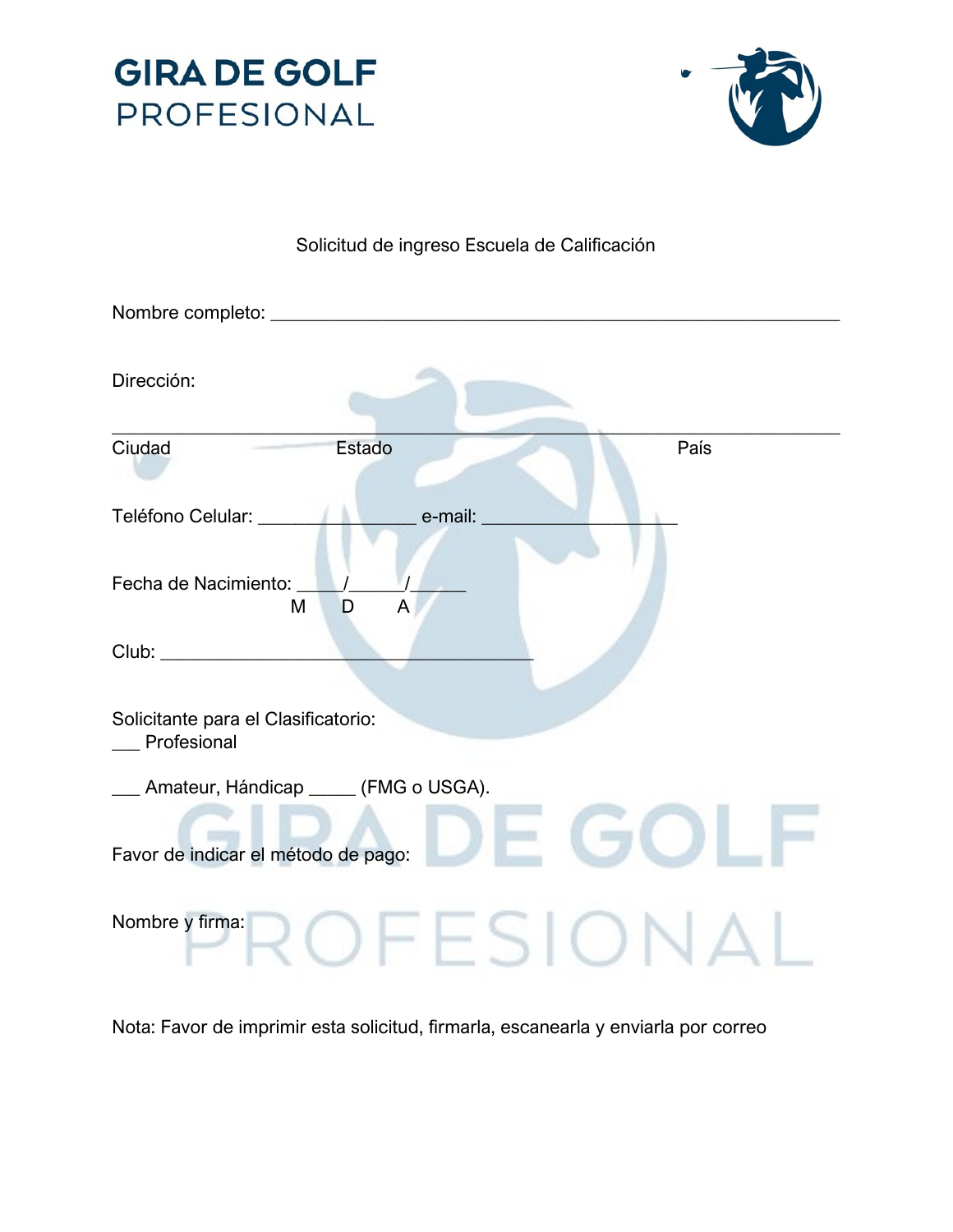



## Solicitud de ingreso Escuela de Calificación

| Nombre completo: _                                                            |
|-------------------------------------------------------------------------------|
| Dirección:                                                                    |
| Estado<br>Ciudad<br>País                                                      |
| e-mail:<br>Teléfono Celular: ______                                           |
| Fecha de Nacimiento: _<br>M<br>D<br>A                                         |
|                                                                               |
| Solicitante para el Clasificatorio:<br>Profesional                            |
| _ Amateur, Hándicap ____ (FMG o USGA).<br>Favor de indicar el método de pago: |
| Nombre y firma:                                                               |

Nota: Favor de imprimir esta solicitud, firmarla, escanearla y enviarla por correo